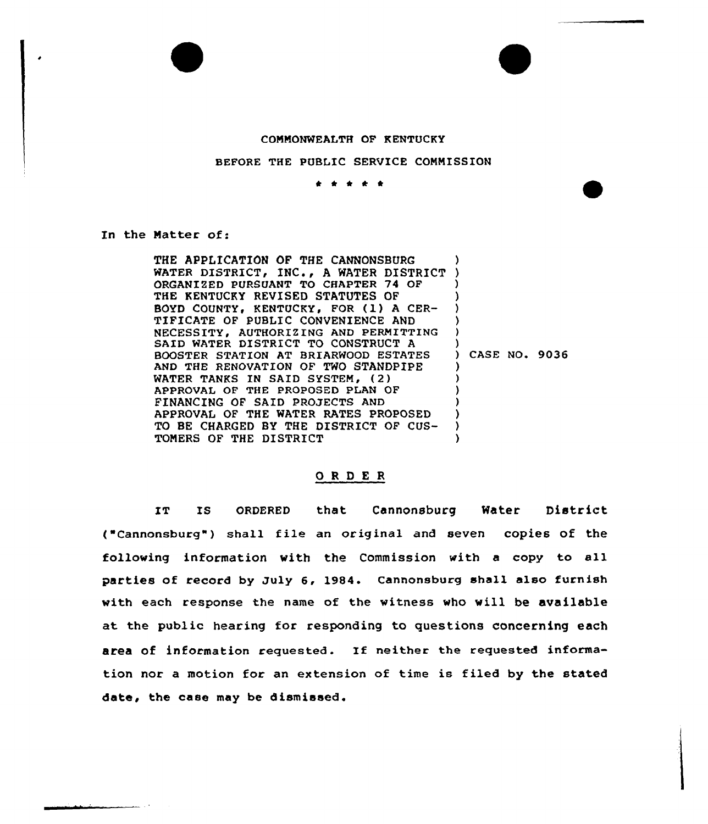## COMMONWEALTH OF KENTUCKY

## BEFORE THE PUBLIC SERVICE COMMISSION

 $\begin{array}{cccccccccccccc} A & A & A & A & A & A \end{array}$ 

In the Natter of:

THE APPLICATION OF THE CANNONSBURG WATER DISTRICT, INC., <sup>A</sup> WATER DISTRICT ORGANIZED PURSUANT TO CHAPTER 74 OF THE KENTUCKY REVISED STATUTES OF BOYD COUNTY, KENTUCKY, FOR (1) A CER-TIFICATE OF PUBLIC CONVENIENCE AND NECESSITY, AUTHORIZING AND PERMITTING SAID WATER DISTRICT TO CONSTRUCT A BOOSTER STATION AT BRIARWOOD ESTATES AND THE RENOVATION OF TWO STANDPIPE WATER TANKS IN SAID SYSTEM, (2) APPROVAL OF THE PROPOSED PLAN OF FINANCING OF SAID PROJECTS AND APPROVAL OF THE WATER RATES PROPOSED TO BE CHARGED BY THE DISTRICT OF CUS-TOMERS OF THE DISTRICT ) ) ) ) ) ) ) ) ) CASE NO. 9036 ) ) ) ) ) ) )

## ORDER

IT Is oRDERED that Cannonsburg Water District ( Cannonsburg") shall file an original and seven copies of the following information with the Commission with a copy to all parties of record by July 6, 1984. Cannonsburg shall also furnish with each response the name of the witness who will be available at the public hearing for responding to questions concerning each area of information requested. If neither the requested information nor a motion for an extension of time is filed by the stated date, the case may be dismissed.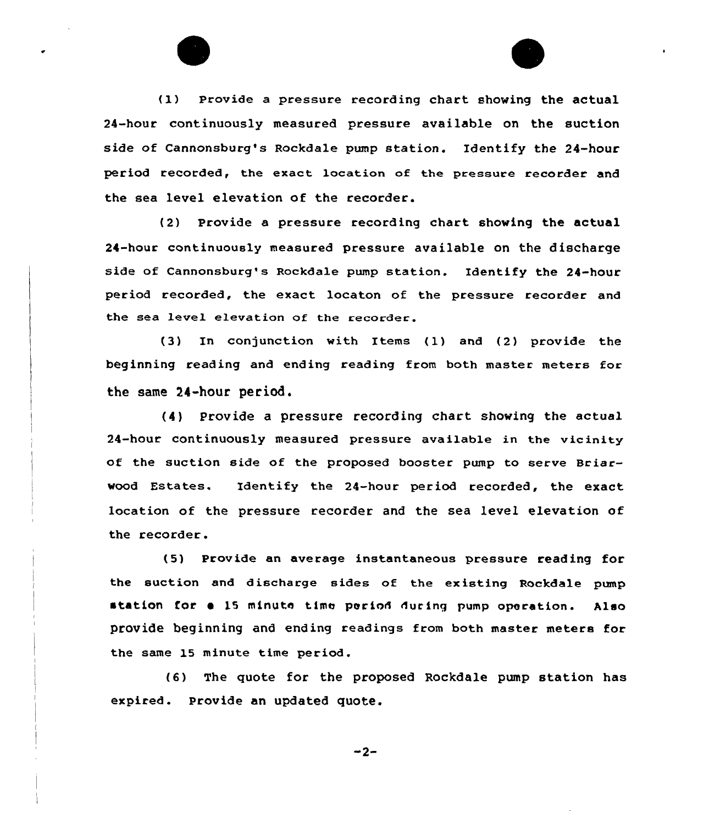(1) Provide a pressure recording chart showing the actual 24-hour continuously measured pressure available on the suction side of Cannonsburg's Rockdale pump station. Identify the 24-hour period recorded, the exact location of the pressure recorder and the sea level elevation of the recorder.

(2) Provide a pressure recording chart showing the actual 24-hour continuously measured pressuee available on the discharge side of Cannonsburg's Rockdale pump station. Identify the 24-hour peeiod eecorded, the exact locaton of the pressure recorder and the sea level elevation of the recorder.

(3) In conjunction with Items (1) and (2) provide the beginning reading and ending reading from both master meters for the same 24-hour period.

(4) Provide a pressure recording chart showing the actual 24-houe continuously measured pressure available in the vicinity of the suction side of the proposed booster pump to serve Briarwood Estates. Identify the 24-hour period recorded, the exact location of the pressure recorder and the sea level elevation of the recorder.

(5) Provide an average instantaneous pressuee reading for the suction and discharge sides of the existing Rockdale pump station for a 15 minute time period during pump operation. Also provide beginning and ending readings from both master meters for the same 15 minute time period.

(6) The quote for the proposed Rockdale pump station has expired. Provide an updated quote.

 $-2-$